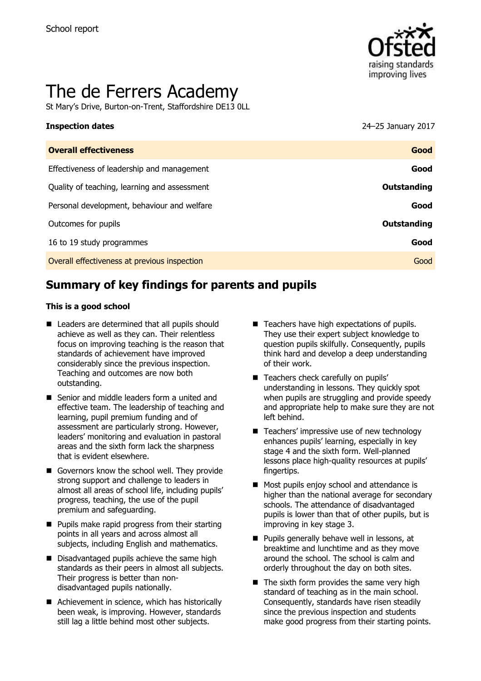

# The de Ferrers Academy

St Mary's Drive, Burton-on-Trent, Staffordshire DE13 0LL

#### **Inspection dates** 24–25 January 2017

| <b>Overall effectiveness</b>                 | Good        |
|----------------------------------------------|-------------|
| Effectiveness of leadership and management   | Good        |
| Quality of teaching, learning and assessment | Outstanding |
| Personal development, behaviour and welfare  | Good        |
| Outcomes for pupils                          | Outstanding |
| 16 to 19 study programmes                    | Good        |
| Overall effectiveness at previous inspection | Good        |
|                                              |             |

# **Summary of key findings for parents and pupils**

#### **This is a good school**

- Leaders are determined that all pupils should achieve as well as they can. Their relentless focus on improving teaching is the reason that standards of achievement have improved considerably since the previous inspection. Teaching and outcomes are now both outstanding.
- Senior and middle leaders form a united and effective team. The leadership of teaching and learning, pupil premium funding and of assessment are particularly strong. However, leaders' monitoring and evaluation in pastoral areas and the sixth form lack the sharpness that is evident elsewhere.
- Governors know the school well. They provide strong support and challenge to leaders in almost all areas of school life, including pupils' progress, teaching, the use of the pupil premium and safeguarding.
- $\blacksquare$  Pupils make rapid progress from their starting points in all years and across almost all subjects, including English and mathematics.
- Disadvantaged pupils achieve the same high standards as their peers in almost all subjects. Their progress is better than nondisadvantaged pupils nationally.
- Achievement in science, which has historically been weak, is improving. However, standards still lag a little behind most other subjects.
- Teachers have high expectations of pupils. They use their expert subject knowledge to question pupils skilfully. Consequently, pupils think hard and develop a deep understanding of their work.
- Teachers check carefully on pupils' understanding in lessons. They quickly spot when pupils are struggling and provide speedy and appropriate help to make sure they are not left behind.
- $\blacksquare$  Teachers' impressive use of new technology enhances pupils' learning, especially in key stage 4 and the sixth form. Well-planned lessons place high-quality resources at pupils' fingertips.
- Most pupils enjoy school and attendance is higher than the national average for secondary schools. The attendance of disadvantaged pupils is lower than that of other pupils, but is improving in key stage 3.
- **Pupils generally behave well in lessons, at** breaktime and lunchtime and as they move around the school. The school is calm and orderly throughout the day on both sites.
- $\blacksquare$  The sixth form provides the same very high standard of teaching as in the main school. Consequently, standards have risen steadily since the previous inspection and students make good progress from their starting points.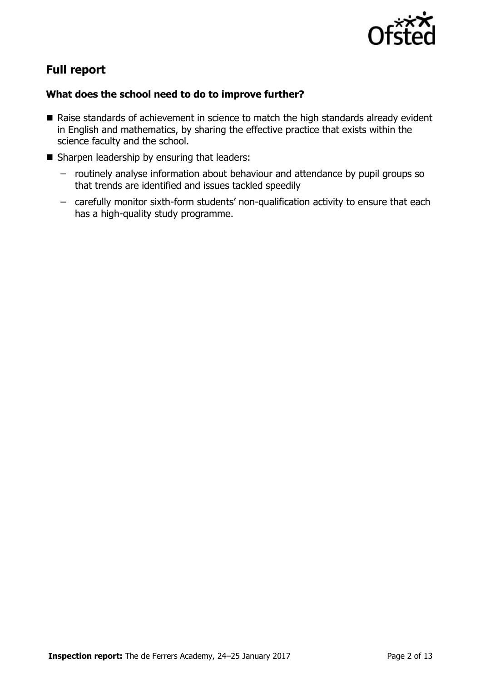

# **Full report**

### **What does the school need to do to improve further?**

- Raise standards of achievement in science to match the high standards already evident in English and mathematics, by sharing the effective practice that exists within the science faculty and the school.
- Sharpen leadership by ensuring that leaders:
	- routinely analyse information about behaviour and attendance by pupil groups so that trends are identified and issues tackled speedily
	- carefully monitor sixth-form students' non-qualification activity to ensure that each has a high-quality study programme.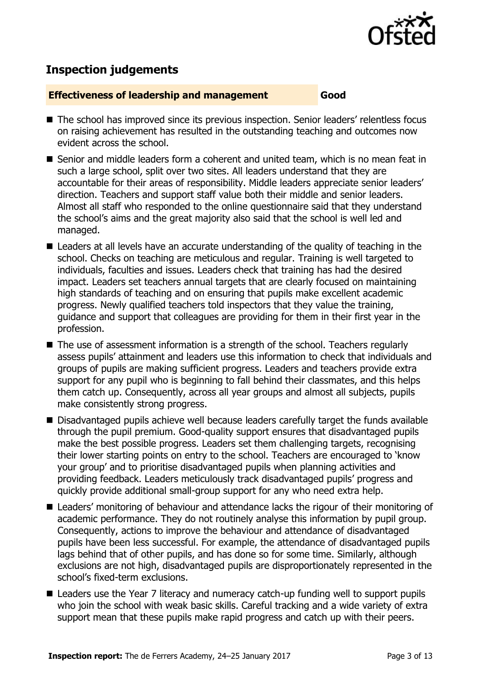

# **Inspection judgements**

#### **Effectiveness of leadership and management Good**

- The school has improved since its previous inspection. Senior leaders' relentless focus on raising achievement has resulted in the outstanding teaching and outcomes now evident across the school.
- Senior and middle leaders form a coherent and united team, which is no mean feat in such a large school, split over two sites. All leaders understand that they are accountable for their areas of responsibility. Middle leaders appreciate senior leaders' direction. Teachers and support staff value both their middle and senior leaders. Almost all staff who responded to the online questionnaire said that they understand the school's aims and the great majority also said that the school is well led and managed.
- Leaders at all levels have an accurate understanding of the quality of teaching in the school. Checks on teaching are meticulous and regular. Training is well targeted to individuals, faculties and issues. Leaders check that training has had the desired impact. Leaders set teachers annual targets that are clearly focused on maintaining high standards of teaching and on ensuring that pupils make excellent academic progress. Newly qualified teachers told inspectors that they value the training, guidance and support that colleagues are providing for them in their first year in the profession.
- The use of assessment information is a strength of the school. Teachers regularly assess pupils' attainment and leaders use this information to check that individuals and groups of pupils are making sufficient progress. Leaders and teachers provide extra support for any pupil who is beginning to fall behind their classmates, and this helps them catch up. Consequently, across all year groups and almost all subjects, pupils make consistently strong progress.
- Disadvantaged pupils achieve well because leaders carefully target the funds available through the pupil premium. Good-quality support ensures that disadvantaged pupils make the best possible progress. Leaders set them challenging targets, recognising their lower starting points on entry to the school. Teachers are encouraged to 'know your group' and to prioritise disadvantaged pupils when planning activities and providing feedback. Leaders meticulously track disadvantaged pupils' progress and quickly provide additional small-group support for any who need extra help.
- Leaders' monitoring of behaviour and attendance lacks the rigour of their monitoring of academic performance. They do not routinely analyse this information by pupil group. Consequently, actions to improve the behaviour and attendance of disadvantaged pupils have been less successful. For example, the attendance of disadvantaged pupils lags behind that of other pupils, and has done so for some time. Similarly, although exclusions are not high, disadvantaged pupils are disproportionately represented in the school's fixed-term exclusions.
- Leaders use the Year 7 literacy and numeracy catch-up funding well to support pupils who join the school with weak basic skills. Careful tracking and a wide variety of extra support mean that these pupils make rapid progress and catch up with their peers.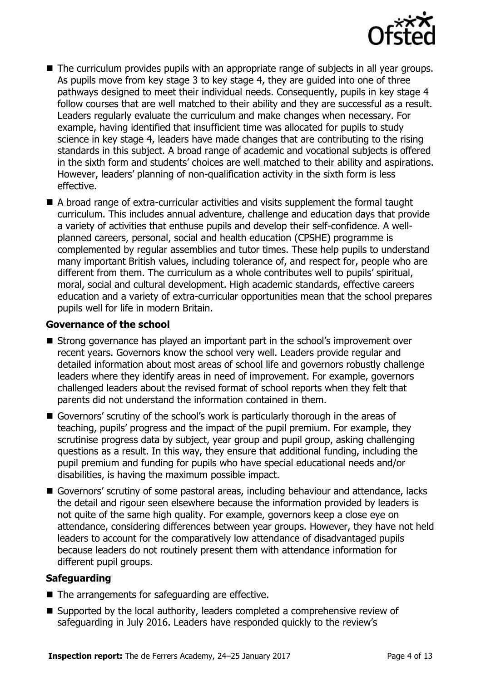

- The curriculum provides pupils with an appropriate range of subjects in all year groups. As pupils move from key stage 3 to key stage 4, they are guided into one of three pathways designed to meet their individual needs. Consequently, pupils in key stage 4 follow courses that are well matched to their ability and they are successful as a result. Leaders regularly evaluate the curriculum and make changes when necessary. For example, having identified that insufficient time was allocated for pupils to study science in key stage 4, leaders have made changes that are contributing to the rising standards in this subject. A broad range of academic and vocational subjects is offered in the sixth form and students' choices are well matched to their ability and aspirations. However, leaders' planning of non-qualification activity in the sixth form is less effective.
- A broad range of extra-curricular activities and visits supplement the formal taught curriculum. This includes annual adventure, challenge and education days that provide a variety of activities that enthuse pupils and develop their self-confidence. A wellplanned careers, personal, social and health education (CPSHE) programme is complemented by regular assemblies and tutor times. These help pupils to understand many important British values, including tolerance of, and respect for, people who are different from them. The curriculum as a whole contributes well to pupils' spiritual, moral, social and cultural development. High academic standards, effective careers education and a variety of extra-curricular opportunities mean that the school prepares pupils well for life in modern Britain.

#### **Governance of the school**

- Strong governance has played an important part in the school's improvement over recent years. Governors know the school very well. Leaders provide regular and detailed information about most areas of school life and governors robustly challenge leaders where they identify areas in need of improvement. For example, governors challenged leaders about the revised format of school reports when they felt that parents did not understand the information contained in them.
- Governors' scrutiny of the school's work is particularly thorough in the areas of teaching, pupils' progress and the impact of the pupil premium. For example, they scrutinise progress data by subject, year group and pupil group, asking challenging questions as a result. In this way, they ensure that additional funding, including the pupil premium and funding for pupils who have special educational needs and/or disabilities, is having the maximum possible impact.
- Governors' scrutiny of some pastoral areas, including behaviour and attendance, lacks the detail and rigour seen elsewhere because the information provided by leaders is not quite of the same high quality. For example, governors keep a close eye on attendance, considering differences between year groups. However, they have not held leaders to account for the comparatively low attendance of disadvantaged pupils because leaders do not routinely present them with attendance information for different pupil groups.

### **Safeguarding**

- $\blacksquare$  The arrangements for safeguarding are effective.
- Supported by the local authority, leaders completed a comprehensive review of safeguarding in July 2016. Leaders have responded quickly to the review's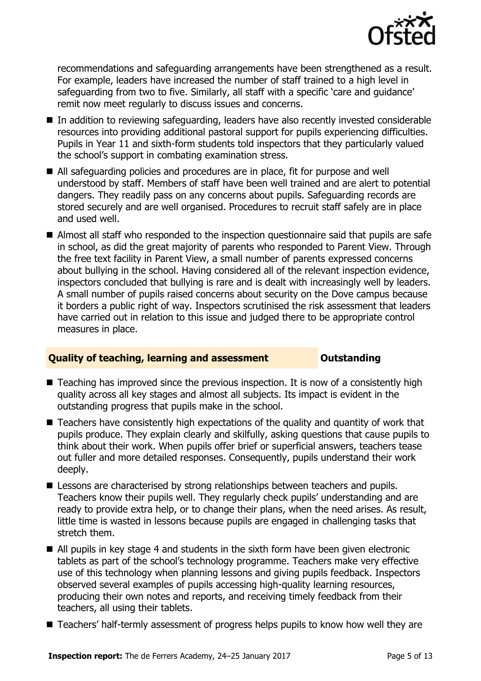

recommendations and safeguarding arrangements have been strengthened as a result. For example, leaders have increased the number of staff trained to a high level in safeguarding from two to five. Similarly, all staff with a specific 'care and guidance' remit now meet regularly to discuss issues and concerns.

- In addition to reviewing safeguarding, leaders have also recently invested considerable resources into providing additional pastoral support for pupils experiencing difficulties. Pupils in Year 11 and sixth-form students told inspectors that they particularly valued the school's support in combating examination stress.
- All safeguarding policies and procedures are in place, fit for purpose and well understood by staff. Members of staff have been well trained and are alert to potential dangers. They readily pass on any concerns about pupils. Safeguarding records are stored securely and are well organised. Procedures to recruit staff safely are in place and used well.
- Almost all staff who responded to the inspection questionnaire said that pupils are safe in school, as did the great majority of parents who responded to Parent View. Through the free text facility in Parent View, a small number of parents expressed concerns about bullying in the school. Having considered all of the relevant inspection evidence, inspectors concluded that bullying is rare and is dealt with increasingly well by leaders. A small number of pupils raised concerns about security on the Dove campus because it borders a public right of way. Inspectors scrutinised the risk assessment that leaders have carried out in relation to this issue and judged there to be appropriate control measures in place.

### **Quality of teaching, learning and assessment <b>Constanding**

- Teaching has improved since the previous inspection. It is now of a consistently high quality across all key stages and almost all subjects. Its impact is evident in the outstanding progress that pupils make in the school.
- Teachers have consistently high expectations of the quality and quantity of work that pupils produce. They explain clearly and skilfully, asking questions that cause pupils to think about their work. When pupils offer brief or superficial answers, teachers tease out fuller and more detailed responses. Consequently, pupils understand their work deeply.
- Lessons are characterised by strong relationships between teachers and pupils. Teachers know their pupils well. They regularly check pupils' understanding and are ready to provide extra help, or to change their plans, when the need arises. As result, little time is wasted in lessons because pupils are engaged in challenging tasks that stretch them.
- All pupils in key stage 4 and students in the sixth form have been given electronic tablets as part of the school's technology programme. Teachers make very effective use of this technology when planning lessons and giving pupils feedback. Inspectors observed several examples of pupils accessing high-quality learning resources, producing their own notes and reports, and receiving timely feedback from their teachers, all using their tablets.
- Teachers' half-termly assessment of progress helps pupils to know how well they are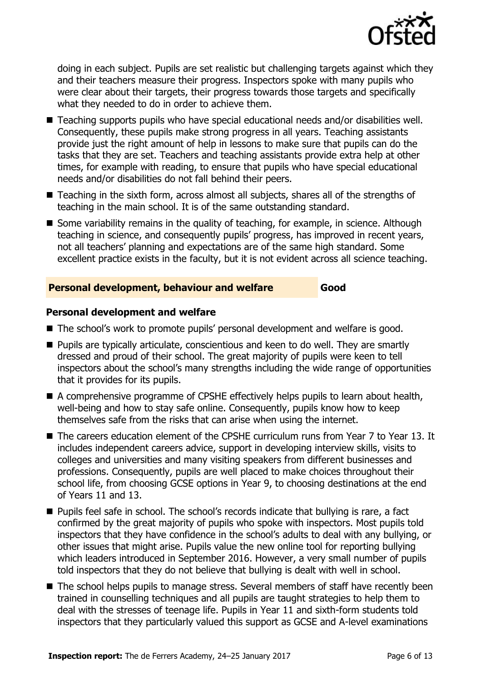

doing in each subject. Pupils are set realistic but challenging targets against which they and their teachers measure their progress. Inspectors spoke with many pupils who were clear about their targets, their progress towards those targets and specifically what they needed to do in order to achieve them.

- Teaching supports pupils who have special educational needs and/or disabilities well. Consequently, these pupils make strong progress in all years. Teaching assistants provide just the right amount of help in lessons to make sure that pupils can do the tasks that they are set. Teachers and teaching assistants provide extra help at other times, for example with reading, to ensure that pupils who have special educational needs and/or disabilities do not fall behind their peers.
- Teaching in the sixth form, across almost all subjects, shares all of the strengths of teaching in the main school. It is of the same outstanding standard.
- Some variability remains in the quality of teaching, for example, in science. Although teaching in science, and consequently pupils' progress, has improved in recent years, not all teachers' planning and expectations are of the same high standard. Some excellent practice exists in the faculty, but it is not evident across all science teaching.

### **Personal development, behaviour and welfare Good**

### **Personal development and welfare**

- The school's work to promote pupils' personal development and welfare is good.
- **Pupils are typically articulate, conscientious and keen to do well. They are smartly** dressed and proud of their school. The great majority of pupils were keen to tell inspectors about the school's many strengths including the wide range of opportunities that it provides for its pupils.
- A comprehensive programme of CPSHE effectively helps pupils to learn about health, well-being and how to stay safe online. Consequently, pupils know how to keep themselves safe from the risks that can arise when using the internet.
- The careers education element of the CPSHE curriculum runs from Year 7 to Year 13. It includes independent careers advice, support in developing interview skills, visits to colleges and universities and many visiting speakers from different businesses and professions. Consequently, pupils are well placed to make choices throughout their school life, from choosing GCSE options in Year 9, to choosing destinations at the end of Years 11 and 13.
- **Pupils feel safe in school. The school's records indicate that bullying is rare, a fact** confirmed by the great majority of pupils who spoke with inspectors. Most pupils told inspectors that they have confidence in the school's adults to deal with any bullying, or other issues that might arise. Pupils value the new online tool for reporting bullying which leaders introduced in September 2016. However, a very small number of pupils told inspectors that they do not believe that bullying is dealt with well in school.
- The school helps pupils to manage stress. Several members of staff have recently been trained in counselling techniques and all pupils are taught strategies to help them to deal with the stresses of teenage life. Pupils in Year 11 and sixth-form students told inspectors that they particularly valued this support as GCSE and A-level examinations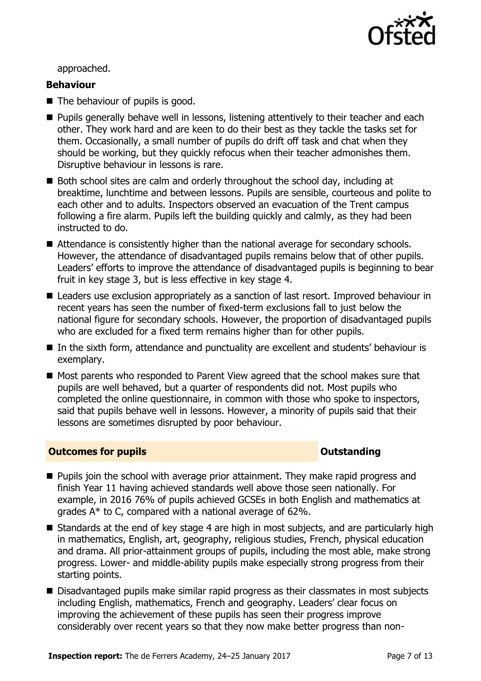

approached.

#### **Behaviour**

- The behaviour of pupils is good.
- **Pupils generally behave well in lessons, listening attentively to their teacher and each** other. They work hard and are keen to do their best as they tackle the tasks set for them. Occasionally, a small number of pupils do drift off task and chat when they should be working, but they quickly refocus when their teacher admonishes them. Disruptive behaviour in lessons is rare.
- Both school sites are calm and orderly throughout the school day, including at breaktime, lunchtime and between lessons. Pupils are sensible, courteous and polite to each other and to adults. Inspectors observed an evacuation of the Trent campus following a fire alarm. Pupils left the building quickly and calmly, as they had been instructed to do.
- Attendance is consistently higher than the national average for secondary schools. However, the attendance of disadvantaged pupils remains below that of other pupils. Leaders' efforts to improve the attendance of disadvantaged pupils is beginning to bear fruit in key stage 3, but is less effective in key stage 4.
- Leaders use exclusion appropriately as a sanction of last resort. Improved behaviour in recent years has seen the number of fixed-term exclusions fall to just below the national figure for secondary schools. However, the proportion of disadvantaged pupils who are excluded for a fixed term remains higher than for other pupils.
- In the sixth form, attendance and punctuality are excellent and students' behaviour is exemplary.
- Most parents who responded to Parent View agreed that the school makes sure that pupils are well behaved, but a quarter of respondents did not. Most pupils who completed the online questionnaire, in common with those who spoke to inspectors, said that pupils behave well in lessons. However, a minority of pupils said that their lessons are sometimes disrupted by poor behaviour.

### **Outcomes for pupils Outstanding**

- **Pupils join the school with average prior attainment. They make rapid progress and** finish Year 11 having achieved standards well above those seen nationally. For example, in 2016 76% of pupils achieved GCSEs in both English and mathematics at grades A\* to C, compared with a national average of 62%.
- Standards at the end of key stage 4 are high in most subjects, and are particularly high in mathematics, English, art, geography, religious studies, French, physical education and drama. All prior-attainment groups of pupils, including the most able, make strong progress. Lower- and middle-ability pupils make especially strong progress from their starting points.
- Disadvantaged pupils make similar rapid progress as their classmates in most subjects including English, mathematics, French and geography. Leaders' clear focus on improving the achievement of these pupils has seen their progress improve considerably over recent years so that they now make better progress than non-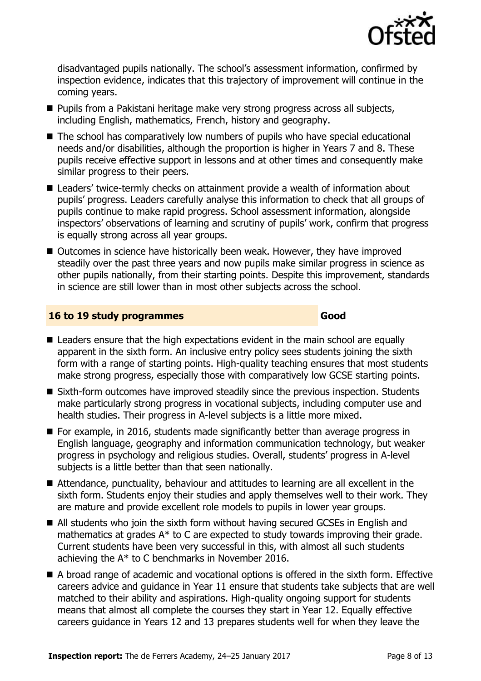

disadvantaged pupils nationally. The school's assessment information, confirmed by inspection evidence, indicates that this trajectory of improvement will continue in the coming years.

- **Pupils from a Pakistani heritage make very strong progress across all subjects,** including English, mathematics, French, history and geography.
- The school has comparatively low numbers of pupils who have special educational needs and/or disabilities, although the proportion is higher in Years 7 and 8. These pupils receive effective support in lessons and at other times and consequently make similar progress to their peers.
- Leaders' twice-termly checks on attainment provide a wealth of information about pupils' progress. Leaders carefully analyse this information to check that all groups of pupils continue to make rapid progress. School assessment information, alongside inspectors' observations of learning and scrutiny of pupils' work, confirm that progress is equally strong across all year groups.
- Outcomes in science have historically been weak. However, they have improved steadily over the past three years and now pupils make similar progress in science as other pupils nationally, from their starting points. Despite this improvement, standards in science are still lower than in most other subjects across the school.

#### **16 to 19 study programmes Good**

- Leaders ensure that the high expectations evident in the main school are equally apparent in the sixth form. An inclusive entry policy sees students joining the sixth form with a range of starting points. High-quality teaching ensures that most students make strong progress, especially those with comparatively low GCSE starting points.
- Sixth-form outcomes have improved steadily since the previous inspection. Students make particularly strong progress in vocational subjects, including computer use and health studies. Their progress in A-level subjects is a little more mixed.
- $\blacksquare$  For example, in 2016, students made significantly better than average progress in English language, geography and information communication technology, but weaker progress in psychology and religious studies. Overall, students' progress in A-level subjects is a little better than that seen nationally.
- Attendance, punctuality, behaviour and attitudes to learning are all excellent in the sixth form. Students enjoy their studies and apply themselves well to their work. They are mature and provide excellent role models to pupils in lower year groups.
- All students who join the sixth form without having secured GCSEs in English and mathematics at grades A\* to C are expected to study towards improving their grade. Current students have been very successful in this, with almost all such students achieving the A\* to C benchmarks in November 2016.
- A broad range of academic and vocational options is offered in the sixth form. Effective careers advice and guidance in Year 11 ensure that students take subjects that are well matched to their ability and aspirations. High-quality ongoing support for students means that almost all complete the courses they start in Year 12. Equally effective careers guidance in Years 12 and 13 prepares students well for when they leave the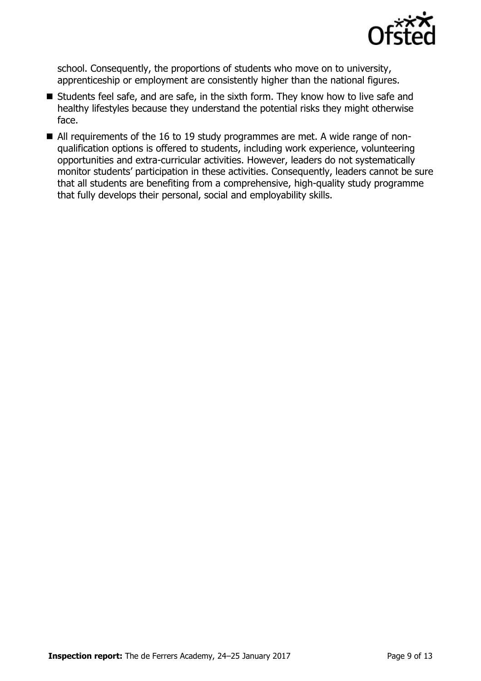

school. Consequently, the proportions of students who move on to university, apprenticeship or employment are consistently higher than the national figures.

- Students feel safe, and are safe, in the sixth form. They know how to live safe and healthy lifestyles because they understand the potential risks they might otherwise face.
- All requirements of the 16 to 19 study programmes are met. A wide range of nonqualification options is offered to students, including work experience, volunteering opportunities and extra-curricular activities. However, leaders do not systematically monitor students' participation in these activities. Consequently, leaders cannot be sure that all students are benefiting from a comprehensive, high-quality study programme that fully develops their personal, social and employability skills.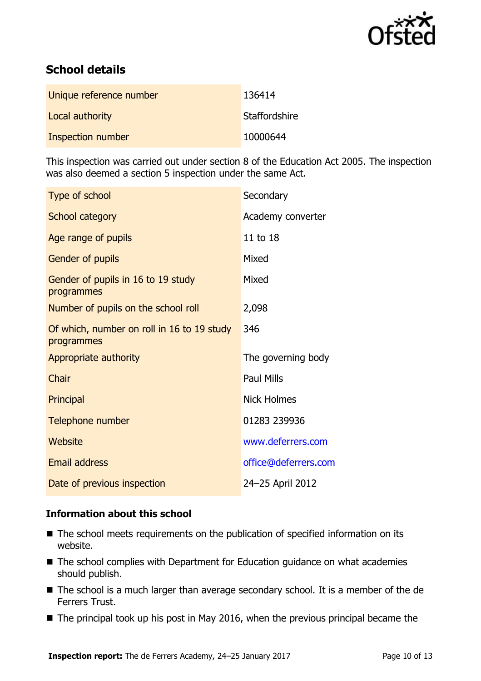

# **School details**

| Unique reference number | 136414        |
|-------------------------|---------------|
| Local authority         | Staffordshire |
| Inspection number       | 10000644      |

This inspection was carried out under section 8 of the Education Act 2005. The inspection was also deemed a section 5 inspection under the same Act.

| Type of school                                           | Secondary            |
|----------------------------------------------------------|----------------------|
| School category                                          | Academy converter    |
| Age range of pupils                                      | 11 to 18             |
| <b>Gender of pupils</b>                                  | Mixed                |
| Gender of pupils in 16 to 19 study<br>programmes         | Mixed                |
| Number of pupils on the school roll                      | 2,098                |
| Of which, number on roll in 16 to 19 study<br>programmes | 346                  |
| Appropriate authority                                    | The governing body   |
| Chair                                                    | <b>Paul Mills</b>    |
| Principal                                                | <b>Nick Holmes</b>   |
| Telephone number                                         | 01283 239936         |
| Website                                                  | www.deferrers.com    |
| <b>Email address</b>                                     | office@deferrers.com |
| Date of previous inspection                              | 24-25 April 2012     |

### **Information about this school**

- The school meets requirements on the publication of specified information on its website.
- The school complies with Department for Education guidance on what academies should publish.
- The school is a much larger than average secondary school. It is a member of the de Ferrers Trust.
- $\blacksquare$  The principal took up his post in May 2016, when the previous principal became the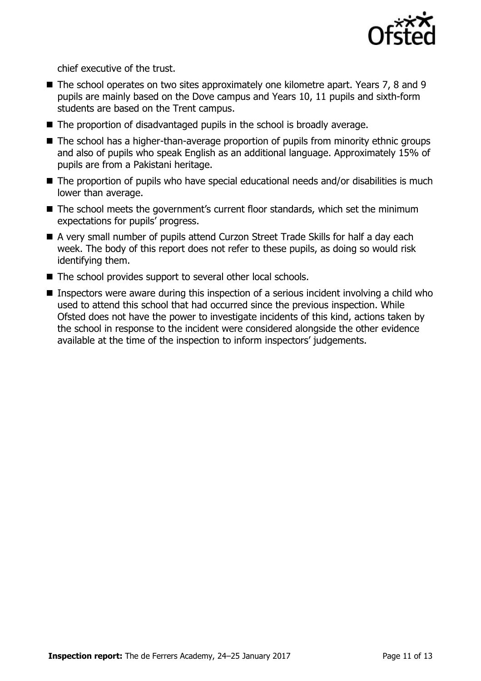

chief executive of the trust.

- The school operates on two sites approximately one kilometre apart. Years 7, 8 and 9 pupils are mainly based on the Dove campus and Years 10, 11 pupils and sixth-form students are based on the Trent campus.
- $\blacksquare$  The proportion of disadvantaged pupils in the school is broadly average.
- The school has a higher-than-average proportion of pupils from minority ethnic groups and also of pupils who speak English as an additional language. Approximately 15% of pupils are from a Pakistani heritage.
- The proportion of pupils who have special educational needs and/or disabilities is much lower than average.
- The school meets the government's current floor standards, which set the minimum expectations for pupils' progress.
- A very small number of pupils attend Curzon Street Trade Skills for half a day each week. The body of this report does not refer to these pupils, as doing so would risk identifying them.
- The school provides support to several other local schools.
- **Inspectors were aware during this inspection of a serious incident involving a child who** used to attend this school that had occurred since the previous inspection. While Ofsted does not have the power to investigate incidents of this kind, actions taken by the school in response to the incident were considered alongside the other evidence available at the time of the inspection to inform inspectors' judgements.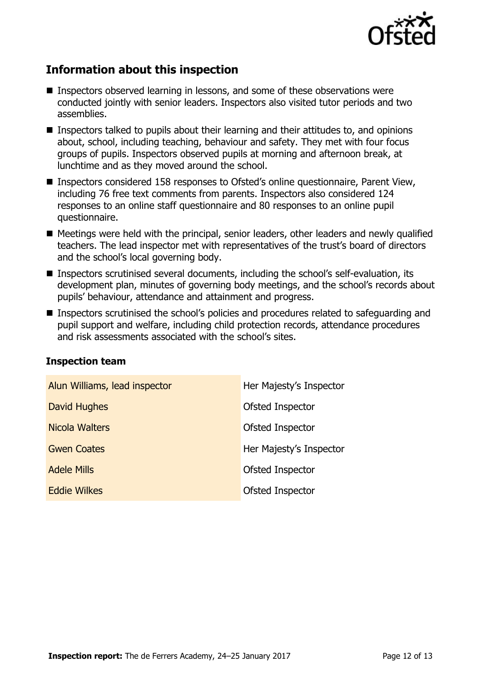

## **Information about this inspection**

- Inspectors observed learning in lessons, and some of these observations were conducted jointly with senior leaders. Inspectors also visited tutor periods and two assemblies.
- Inspectors talked to pupils about their learning and their attitudes to, and opinions about, school, including teaching, behaviour and safety. They met with four focus groups of pupils. Inspectors observed pupils at morning and afternoon break, at lunchtime and as they moved around the school.
- Inspectors considered 158 responses to Ofsted's online questionnaire, Parent View, including 76 free text comments from parents. Inspectors also considered 124 responses to an online staff questionnaire and 80 responses to an online pupil questionnaire.
- Meetings were held with the principal, senior leaders, other leaders and newly qualified teachers. The lead inspector met with representatives of the trust's board of directors and the school's local governing body.
- Inspectors scrutinised several documents, including the school's self-evaluation, its development plan, minutes of governing body meetings, and the school's records about pupils' behaviour, attendance and attainment and progress.
- **Inspectors scrutinised the school's policies and procedures related to safeguarding and** pupil support and welfare, including child protection records, attendance procedures and risk assessments associated with the school's sites.

| Alun Williams, lead inspector | Her Majesty's Inspector |
|-------------------------------|-------------------------|
| David Hughes                  | Ofsted Inspector        |
| Nicola Walters                | Ofsted Inspector        |
| <b>Gwen Coates</b>            | Her Majesty's Inspector |
| <b>Adele Mills</b>            | Ofsted Inspector        |
| <b>Eddie Wilkes</b>           | Ofsted Inspector        |

### **Inspection team**